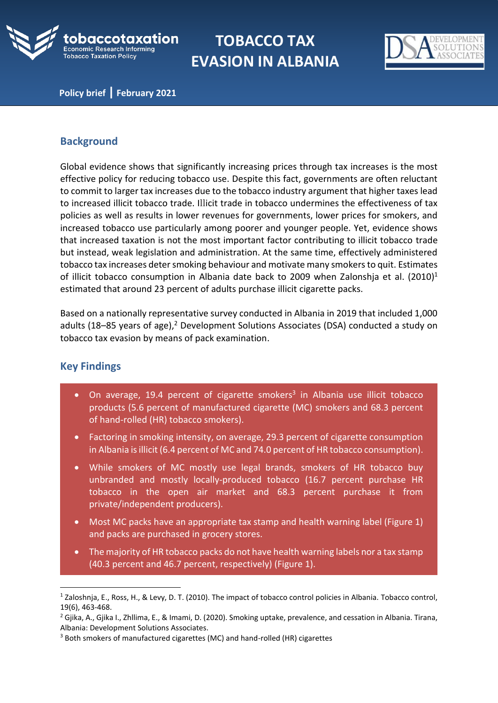

**TOBACCO TAX EVASION IN ALBANIA**



 **Policy brief | February 2021**

## **Background**

Global evidence shows that significantly increasing prices through tax increases is the most effective policy for reducing tobacco use. Despite this fact, governments are often reluctant to commit to larger tax increases due to the tobacco industry argument that higher taxes lead to increased illicit tobacco trade. Illicit trade in tobacco undermines the effectiveness of tax policies as well as results in lower revenues for governments, lower prices for smokers, and increased tobacco use particularly among poorer and younger people. Yet, evidence shows that increased taxation is not the most important factor contributing to illicit tobacco trade but instead, weak legislation and administration. At the same time, effectively administered tobacco tax increases deter smoking behaviour and motivate many smokers to quit. Estimates of illicit tobacco consumption in Albania date back to 2009 when Zalonshia et al.  $(2010)^1$ estimated that around 23 percent of adults purchase illicit cigarette packs.

Based on a nationally representative survey conducted in Albania in 2019 that included 1,000 adults (18–85 years of age),<sup>2</sup> Development Solutions Associates (DSA) conducted a study on tobacco tax evasion by means of pack examination.

## **Key Findings**

- $\bullet$  On average, 19.4 percent of cigarette smokers<sup>3</sup> in Albania use illicit tobacco products (5.6 percent of manufactured cigarette (MC) smokers and 68.3 percent of hand-rolled (HR) tobacco smokers).
- Factoring in smoking intensity, on average, 29.3 percent of cigarette consumption in Albania is illicit (6.4 percent of MC and 74.0 percent of HR tobacco consumption).
- While smokers of MC mostly use legal brands, smokers of HR tobacco buy unbranded and mostly locally-produced tobacco (16.7 percent purchase HR tobacco in the open air market and 68.3 percent purchase it from private/independent producers).
- Most MC packs have an appropriate tax stamp and health warning label (Figure 1) and packs are purchased in grocery stores.
- The majority of HR tobacco packs do not have health warning labels nor a tax stamp (40.3 percent and 46.7 percent, respectively) (Figure 1).

<sup>1</sup> Zaloshnja, E., Ross, H., & Levy, D. T. (2010). The impact of tobacco control policies in Albania. Tobacco control, 19(6), 463-468.

<sup>&</sup>lt;sup>2</sup> Gjika, A., Gjika I., Zhllima, E., & Imami, D. (2020). Smoking uptake, prevalence, and cessation in Albania. Tirana, Albania: Development Solutions Associates.

<sup>&</sup>lt;sup>3</sup> Both smokers of manufactured cigarettes (MC) and hand-rolled (HR) cigarettes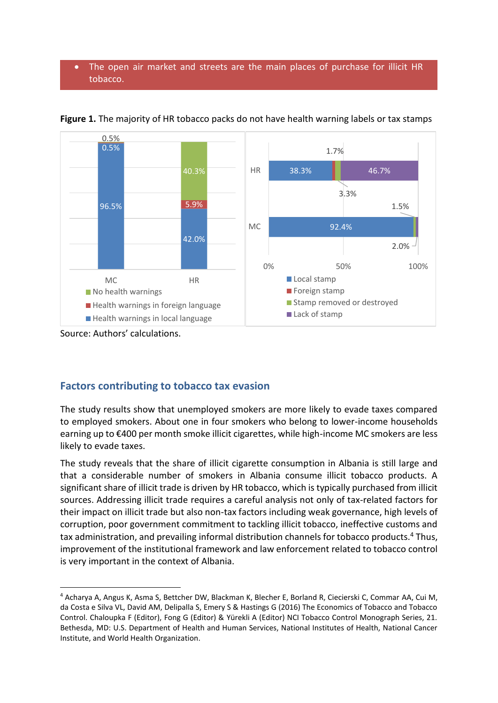### The open air market and streets are the main places of purchase for illicit HR tobacco.



### **Figure 1.** The majority of HR tobacco packs do not have health warning labels or tax stamps

Source: Authors' calculations.

## **Factors contributing to tobacco tax evasion**

The study results show that unemployed smokers are more likely to evade taxes compared to employed smokers. About one in four smokers who belong to lower-income households earning up to €400 per month smoke illicit cigarettes, while high-income MC smokers are less likely to evade taxes.

The study reveals that the share of illicit cigarette consumption in Albania is still large and that a considerable number of smokers in Albania consume illicit tobacco products. A significant share of illicit trade is driven by HR tobacco, which is typically purchased from illicit sources. Addressing illicit trade requires a careful analysis not only of tax-related factors for their impact on illicit trade but also non-tax factors including weak governance, high levels of corruption, poor government commitment to tackling illicit tobacco, ineffective customs and tax administration, and prevailing informal distribution channels for tobacco products.<sup>4</sup> Thus, improvement of the institutional framework and law enforcement related to tobacco control is very important in the context of Albania.

<sup>4</sup> Acharya A, Angus K, Asma S, Bettcher DW, Blackman K, Blecher E, Borland R, Ciecierski C, Commar AA, Cui M, da Costa e Silva VL, David AM, Delipalla S, Emery S & Hastings G (2016) The Economics of Tobacco and Tobacco Control. Chaloupka F (Editor), Fong G (Editor) & Yürekli A (Editor) NCI Tobacco Control Monograph Series, 21. Bethesda, MD: U.S. Department of Health and Human Services, National Institutes of Health, National Cancer Institute, and World Health Organization.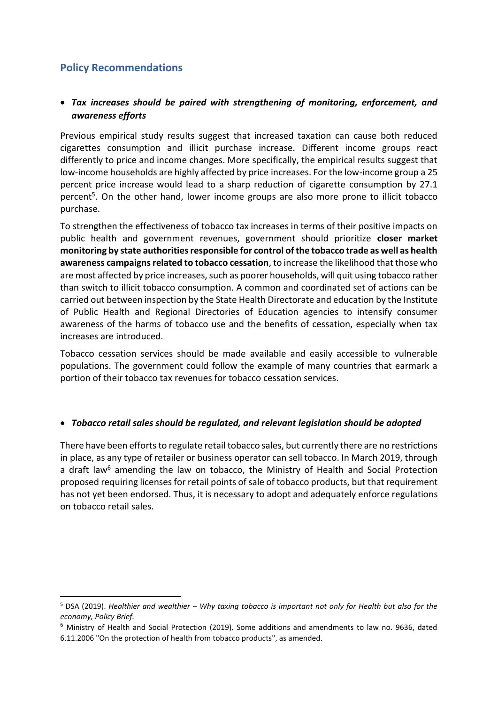# **Policy Recommendations**

## • *Tax increases should be paired with strengthening of monitoring, enforcement, and awareness efforts*

Previous empirical study results suggest that increased taxation can cause both reduced cigarettes consumption and illicit purchase increase. Different income groups react differently to price and income changes. More specifically, the empirical results suggest that low-income households are highly affected by price increases. For the low-income group a 25 percent price increase would lead to a sharp reduction of cigarette consumption by 27.1 percent<sup>5</sup>. On the other hand, lower income groups are also more prone to illicit tobacco purchase.

To strengthen the effectiveness of tobacco tax increases in terms of their positive impacts on public health and government revenues, government should prioritize **closer market monitoring by state authorities responsible for control of the tobacco trade as well as health awareness campaigns related to tobacco cessation**, to increase the likelihood that those who are most affected by price increases, such as poorer households, will quit using tobacco rather than switch to illicit tobacco consumption. A common and coordinated set of actions can be carried out between inspection by the State Health Directorate and education by the Institute of Public Health and Regional Directories of Education agencies to intensify consumer awareness of the harms of tobacco use and the benefits of cessation, especially when tax increases are introduced.

Tobacco cessation services should be made available and easily accessible to vulnerable populations. The government could follow the example of many countries that earmark a portion of their tobacco tax revenues for tobacco cessation services.

#### • *Tobacco retail sales should be regulated, and relevant legislation should be adopted*

There have been efforts to regulate retail tobacco sales, but currently there are no restrictions in place, as any type of retailer or business operator can sell tobacco. In March 2019, through a draft law<sup>6</sup> amending the law on tobacco, the Ministry of Health and Social Protection proposed requiring licenses for retail points of sale of tobacco products, but that requirement has not yet been endorsed. Thus, it is necessary to adopt and adequately enforce regulations on tobacco retail sales.

<sup>5</sup> DSA (2019). *Healthier and wealthier – Why taxing tobacco is important not only for Health but also for the economy, Policy Brief.*

<sup>6</sup> Ministry of Health and Social Protection (2019). Some additions and amendments to law no. 9636, dated 6.11.2006 "On the protection of health from tobacco products", as amended.